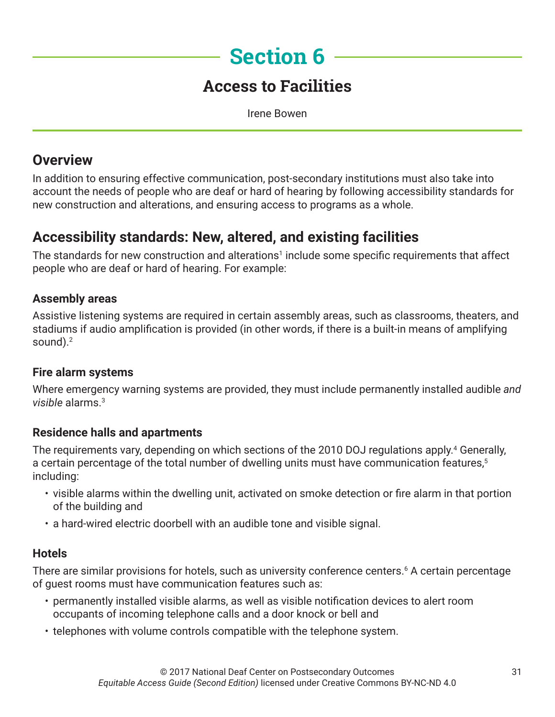# **Section 6**

## **Access to Facilities**

Irene Bowen

### **Overview**

In addition to ensuring effective communication, post-secondary institutions must also take into account the needs of people who are deaf or hard of hearing by following accessibility standards for new construction and alterations, and ensuring access to programs as a whole.

## **Accessibility standards: New, altered, and existing facilities**

The standards for new construction and alterations<sup>1</sup> include some specific requirements that affect people who are deaf or hard of hearing. For example:

#### **Assembly areas**

Assistive listening systems are required in certain assembly areas, such as classrooms, theaters, and stadiums if audio amplification is provided (in other words, if there is a built-in means of amplifying sound). $2$ 

#### **Fire alarm systems**

Where emergency warning systems are provided, they must include permanently installed audible *and visible* alarms.3

#### **Residence halls and apartments**

The requirements vary, depending on which sections of the 2010 DOJ regulations apply.<sup>4</sup> Generally, a certain percentage of the total number of dwelling units must have communication features,<sup>5</sup> including:

- visible alarms within the dwelling unit, activated on smoke detection or fire alarm in that portion of the building and
- a hard-wired electric doorbell with an audible tone and visible signal.

#### **Hotels**

There are similar provisions for hotels, such as university conference centers.6 A certain percentage of guest rooms must have communication features such as:

- permanently installed visible alarms, as well as visible notification devices to alert room occupants of incoming telephone calls and a door knock or bell and
- telephones with volume controls compatible with the telephone system.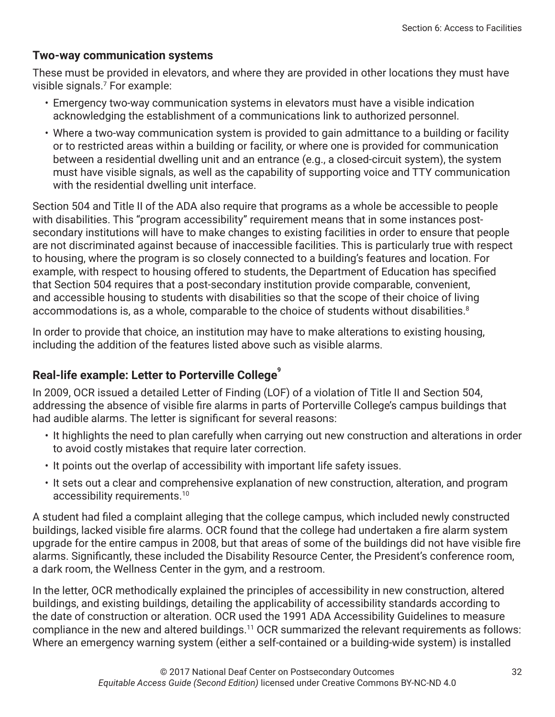#### **Two-way communication systems**

These must be provided in elevators, and where they are provided in other locations they must have visible signals.7 For example:

- Emergency two-way communication systems in elevators must have a visible indication acknowledging the establishment of a communications link to authorized personnel.
- Where a two-way communication system is provided to gain admittance to a building or facility or to restricted areas within a building or facility, or where one is provided for communication between a residential dwelling unit and an entrance (e.g., a closed-circuit system), the system must have visible signals, as well as the capability of supporting voice and TTY communication with the residential dwelling unit interface.

Section 504 and Title II of the ADA also require that programs as a whole be accessible to people with disabilities. This "program accessibility" requirement means that in some instances postsecondary institutions will have to make changes to existing facilities in order to ensure that people are not discriminated against because of inaccessible facilities. This is particularly true with respect to housing, where the program is so closely connected to a building's features and location. For example, with respect to housing offered to students, the Department of Education has specified that Section 504 requires that a post-secondary institution provide comparable, convenient, and accessible housing to students with disabilities so that the scope of their choice of living accommodations is, as a whole, comparable to the choice of students without disabilities.<sup>8</sup>

In order to provide that choice, an institution may have to make alterations to existing housing, including the addition of the features listed above such as visible alarms.

#### **Real-life example: Letter to Porterville College<sup>9</sup>**

In 2009, OCR issued a detailed Letter of Finding (LOF) of a violation of Title II and Section 504, addressing the absence of visible fire alarms in parts of Porterville College's campus buildings that had audible alarms. The letter is significant for several reasons:

- It highlights the need to plan carefully when carrying out new construction and alterations in order to avoid costly mistakes that require later correction.
- It points out the overlap of accessibility with important life safety issues.
- It sets out a clear and comprehensive explanation of new construction, alteration, and program accessibility requirements.10

A student had filed a complaint alleging that the college campus, which included newly constructed buildings, lacked visible fire alarms. OCR found that the college had undertaken a fire alarm system upgrade for the entire campus in 2008, but that areas of some of the buildings did not have visible fire alarms. Significantly, these included the Disability Resource Center, the President's conference room, a dark room, the Wellness Center in the gym, and a restroom.

In the letter, OCR methodically explained the principles of accessibility in new construction, altered buildings, and existing buildings, detailing the applicability of accessibility standards according to the date of construction or alteration. OCR used the 1991 ADA Accessibility Guidelines to measure compliance in the new and altered buildings.<sup>11</sup> OCR summarized the relevant requirements as follows: Where an emergency warning system (either a self-contained or a building-wide system) is installed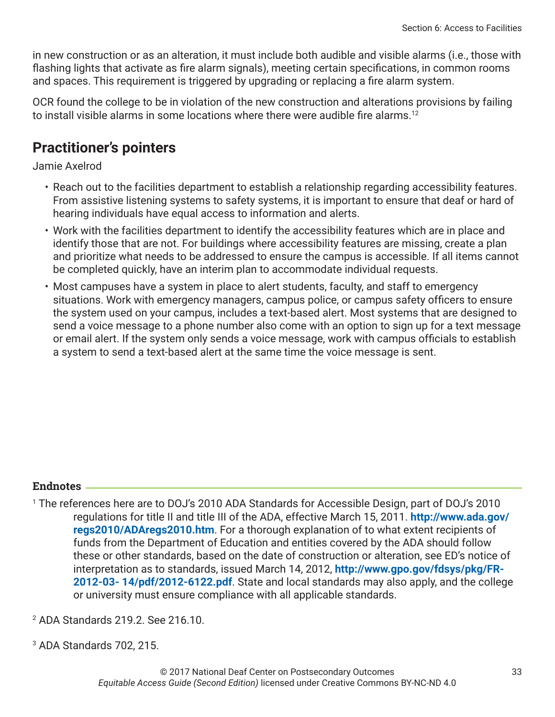in new construction or as an alteration, it must include both audible and visible alarms (i.e., those with flashing lights that activate as fire alarm signals), meeting certain specifications, in common rooms and spaces. This requirement is triggered by upgrading or replacing a fire alarm system.

OCR found the college to be in violation of the new construction and alterations provisions by failing to install visible alarms in some locations where there were audible fire alarms.<sup>12</sup>

## **Practitioner's pointers**

Jamie Axelrod

- Reach out to the facilities department to establish a relationship regarding accessibility features. From assistive listening systems to safety systems, it is important to ensure that deaf or hard of hearing individuals have equal access to information and alerts.
- Work with the facilities department to identify the accessibility features which are in place and identify those that are not. For buildings where accessibility features are missing, create a plan and prioritize what needs to be addressed to ensure the campus is accessible. If all items cannot be completed quickly, have an interim plan to accommodate individual requests.
- Most campuses have a system in place to alert students, faculty, and staff to emergency situations. Work with emergency managers, campus police, or campus safety officers to ensure the system used on your campus, includes a text-based alert. Most systems that are designed to send a voice message to a phone number also come with an option to sign up for a text message or email alert. If the system only sends a voice message, work with campus officials to establish a system to send a text-based alert at the same time the voice message is sent.

#### **Endnotes**

- 1 The references here are to DOJ's 2010 ADA Standards for Accessible Design, part of DOJ's 2010 regulations for title II and title III of the ADA, effective March 15, 2011. **[http://www.ada.gov/](http://www.ada.gov/regs2010/ADAregs2010.htm) [regs2010/ADAregs2010.htm](http://www.ada.gov/regs2010/ADAregs2010.htm)**. For a thorough explanation of to what extent recipients of funds from the Department of Education and entities covered by the ADA should follow these or other standards, based on the date of construction or alteration, see ED's notice of interpretation as to standards, issued March 14, 2012, **[http://www.gpo.gov/fdsys/pkg/FR-](http://www.gpo.gov/fdsys/pkg/FR-2012-03- 14/pdf/2012-6122.pdf)[2012-03- 14/pdf/2012-6122.pdf](http://www.gpo.gov/fdsys/pkg/FR-2012-03- 14/pdf/2012-6122.pdf)**. State and local standards may also apply, and the college or university must ensure compliance with all applicable standards.
- 2 ADA Standards 219.2. See 216.10.
- 3 ADA Standards 702, 215.